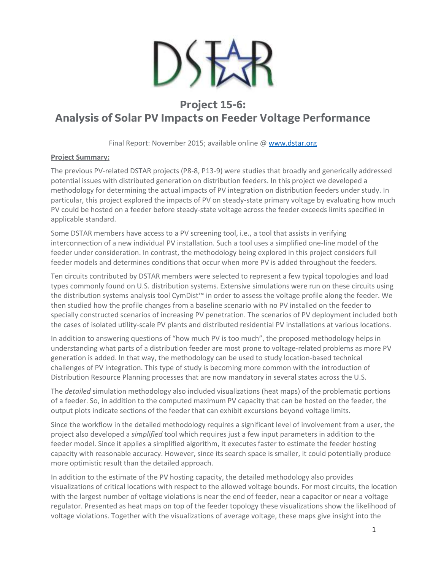

## **Project 15-6: Analysis of Solar PV Impacts on Feeder Voltage Performance**

Final Report: November 2015; available online @ [www.dstar.org](http://www.dstar.org/research/project/103/P15-6-impact-and-practical-limits-of-pv-penetration-on-distribution-feeders)

## **Project Summary:**

The previous PV-related DSTAR projects (P8-8, P13-9) were studies that broadly and generically addressed potential issues with distributed generation on distribution feeders. In this project we developed a methodology for determining the actual impacts of PV integration on distribution feeders under study. In particular, this project explored the impacts of PV on steady-state primary voltage by evaluating how much PV could be hosted on a feeder before steady-state voltage across the feeder exceeds limits specified in applicable standard.

Some DSTAR members have access to a PV screening tool, i.e., a tool that assists in verifying interconnection of a new individual PV installation. Such a tool uses a simplified one-line model of the feeder under consideration. In contrast, the methodology being explored in this project considers full feeder models and determines conditions that occur when more PV is added throughout the feeders.

Ten circuits contributed by DSTAR members were selected to represent a few typical topologies and load types commonly found on U.S. distribution systems. Extensive simulations were run on these circuits using the distribution systems analysis tool CymDist™ in order to assess the voltage profile along the feeder. We then studied how the profile changes from a baseline scenario with no PV installed on the feeder to specially constructed scenarios of increasing PV penetration. The scenarios of PV deployment included both the cases of isolated utility-scale PV plants and distributed residential PV installations at various locations.

In addition to answering questions of "how much PV is too much", the proposed methodology helps in understanding what parts of a distribution feeder are most prone to voltage-related problems as more PV generation is added. In that way, the methodology can be used to study location-based technical challenges of PV integration. This type of study is becoming more common with the introduction of Distribution Resource Planning processes that are now mandatory in several states across the U.S.

The *detailed* simulation methodology also included visualizations (heat maps) of the problematic portions of a feeder. So, in addition to the computed maximum PV capacity that can be hosted on the feeder, the output plots indicate sections of the feeder that can exhibit excursions beyond voltage limits.

Since the workflow in the detailed methodology requires a significant level of involvement from a user, the project also developed a *simplified* tool which requires just a few input parameters in addition to the feeder model. Since it applies a simplified algorithm, it executes faster to estimate the feeder hosting capacity with reasonable accuracy. However, since its search space is smaller, it could potentially produce more optimistic result than the detailed approach.

In addition to the estimate of the PV hosting capacity, the detailed methodology also provides visualizations of critical locations with respect to the allowed voltage bounds. For most circuits, the location with the largest number of voltage violations is near the end of feeder, near a capacitor or near a voltage regulator. Presented as heat maps on top of the feeder topology these visualizations show the likelihood of voltage violations. Together with the visualizations of average voltage, these maps give insight into the